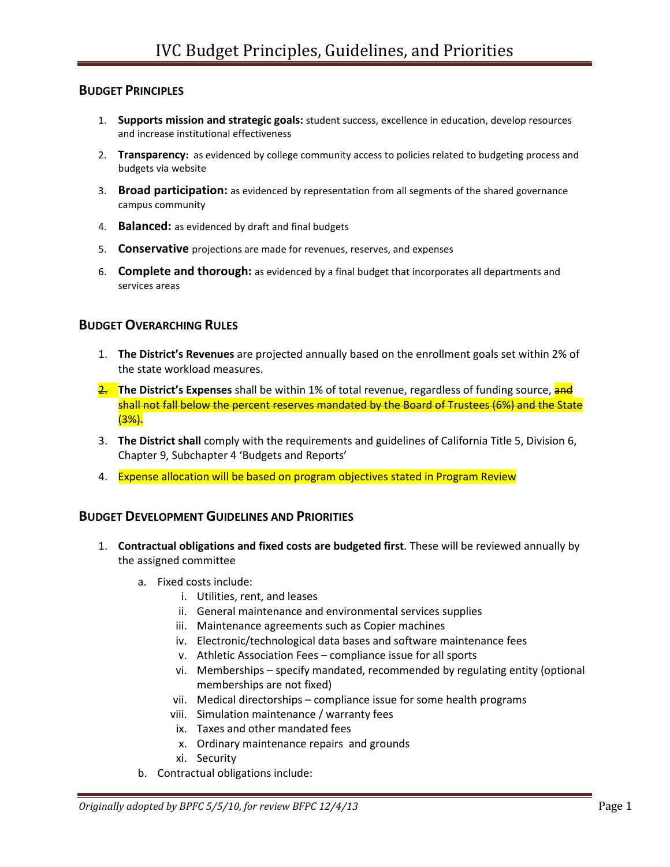#### BUDGET PRINCIPLES

- 1. Supports mission and strategic goals: student success, excellence in education, develop resources and increase institutional effectiveness
- 2. Transparency: as evidenced by college community access to policies related to budgeting process and budgets via website
- 3. **Broad participation:** as evidenced by representation from all segments of the shared governance campus community
- 4. Balanced: as evidenced by draft and final budgets
- 5. Conservative projections are made for revenues, reserves, and expenses
- 6. Complete and thorough: as evidenced by a final budget that incorporates all departments and services areas

#### BUDGET OVERARCHING RULES

- 1. The District's Revenues are projected annually based on the enrollment goals set within 2% of the state workload measures.
- 2. The District's Expenses shall be within 1% of total revenue, regardless of funding source, and shall not fall below the percent reserves mandated by the Board of Trustees (6%) and the State (3%).
- 3. The District shall comply with the requirements and guidelines of California Title 5, Division 6, Chapter 9, Subchapter 4 'Budgets and Reports'
- 4. Expense allocation will be based on program objectives stated in Program Review

### BUDGET DEVELOPMENT GUIDELINES AND PRIORITIES

- 1. Contractual obligations and fixed costs are budgeted first. These will be reviewed annually by the assigned committee
	- a. Fixed costs include:
		- i. Utilities, rent, and leases
		- ii. General maintenance and environmental services supplies
		- iii. Maintenance agreements such as Copier machines
		- iv. Electronic/technological data bases and software maintenance fees
		- v. Athletic Association Fees compliance issue for all sports
		- vi. Memberships specify mandated, recommended by regulating entity (optional memberships are not fixed)
		- vii. Medical directorships compliance issue for some health programs
		- viii. Simulation maintenance / warranty fees
		- ix. Taxes and other mandated fees
		- x. Ordinary maintenance repairs and grounds
		- xi. Security
	- b. Contractual obligations include: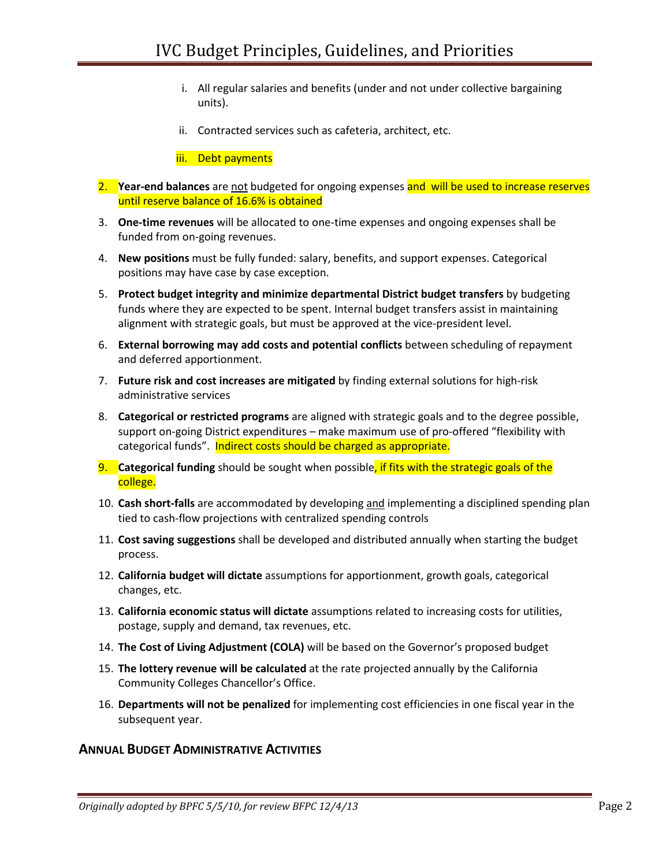- i. All regular salaries and benefits (under and not under collective bargaining units).
- ii. Contracted services such as cafeteria, architect, etc.

iii. Debt payments

- 2. Year-end balances are not budgeted for ongoing expenses and will be used to increase reserves until reserve balance of 16.6% is obtained
- 3. One-time revenues will be allocated to one-time expenses and ongoing expenses shall be funded from on-going revenues.
- 4. New positions must be fully funded: salary, benefits, and support expenses. Categorical positions may have case by case exception.
- 5. Protect budget integrity and minimize departmental District budget transfers by budgeting funds where they are expected to be spent. Internal budget transfers assist in maintaining alignment with strategic goals, but must be approved at the vice-president level.
- 6. External borrowing may add costs and potential conflicts between scheduling of repayment and deferred apportionment.
- 7. Future risk and cost increases are mitigated by finding external solutions for high-risk administrative services
- 8. Categorical or restricted programs are aligned with strategic goals and to the degree possible, support on-going District expenditures – make maximum use of pro-offered "flexibility with categorical funds". Indirect costs should be charged as appropriate.
- 9. Categorical funding should be sought when possible, if fits with the strategic goals of the college.
- 10. Cash short-falls are accommodated by developing and implementing a disciplined spending plan tied to cash-flow projections with centralized spending controls
- 11. Cost saving suggestions shall be developed and distributed annually when starting the budget process.
- 12. California budget will dictate assumptions for apportionment, growth goals, categorical changes, etc.
- 13. California economic status will dictate assumptions related to increasing costs for utilities, postage, supply and demand, tax revenues, etc.
- 14. The Cost of Living Adjustment (COLA) will be based on the Governor's proposed budget
- 15. The lottery revenue will be calculated at the rate projected annually by the California Community Colleges Chancellor's Office.
- 16. Departments will not be penalized for implementing cost efficiencies in one fiscal year in the subsequent year.

### ANNUAL BUDGET ADMINISTRATIVE ACTIVITIES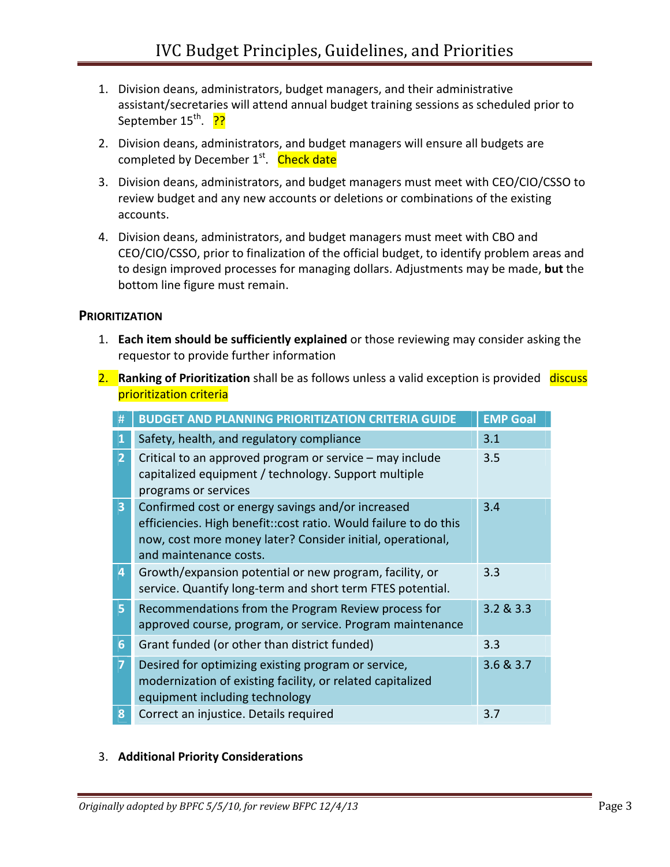- 1. Division deans, administrators, budget managers, and their administrative assistant/secretaries will attend annual budget training sessions as scheduled prior to September 15<sup>th</sup>. ??
- 2. Division deans, administrators, and budget managers will ensure all budgets are completed by December 1<sup>st</sup>. Check date
- 3. Division deans, administrators, and budget managers must meet with CEO/CIO/CSSO to review budget and any new accounts or deletions or combinations of the existing accounts.
- 4. Division deans, administrators, and budget managers must meet with CBO and CEO/CIO/CSSO, prior to finalization of the official budget, to identify problem areas and to design improved processes for managing dollars. Adjustments may be made, but the bottom line figure must remain.

## **PRIORITIZATION**

- 1. Each item should be sufficiently explained or those reviewing may consider asking the requestor to provide further information
- 2. Ranking of Prioritization shall be as follows unless a valid exception is provided discuss prioritization criteria

| #              | <b>BUDGET AND PLANNING PRIORITIZATION CRITERIA GUIDE</b>                                                                                                                                                       | <b>EMP Goal</b> |
|----------------|----------------------------------------------------------------------------------------------------------------------------------------------------------------------------------------------------------------|-----------------|
| 1              | Safety, health, and regulatory compliance                                                                                                                                                                      | 3.1             |
| $\overline{2}$ | Critical to an approved program or service - may include<br>capitalized equipment / technology. Support multiple<br>programs or services                                                                       | 3.5             |
| 3 <sup>1</sup> | Confirmed cost or energy savings and/or increased<br>efficiencies. High benefit:: cost ratio. Would failure to do this<br>now, cost more money later? Consider initial, operational,<br>and maintenance costs. | 3.4             |
| 4              | Growth/expansion potential or new program, facility, or<br>service. Quantify long-term and short term FTES potential.                                                                                          | 3.3             |
| 5.             | Recommendations from the Program Review process for<br>approved course, program, or service. Program maintenance                                                                                               | 3.2 & 3.3       |
| 6              | Grant funded (or other than district funded)                                                                                                                                                                   | 3.3             |
| $\overline{7}$ | Desired for optimizing existing program or service,<br>modernization of existing facility, or related capitalized<br>equipment including technology                                                            | 3.6 & 3.7       |
| 8              | Correct an injustice. Details required                                                                                                                                                                         | 3.7             |

### 3. Additional Priority Considerations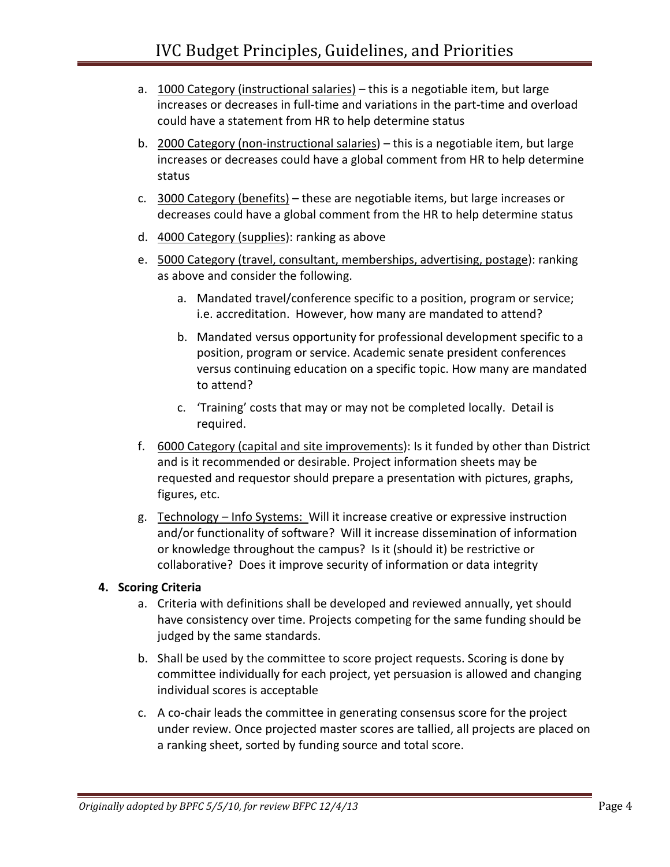- a. 1000 Category (instructional salaries) this is a negotiable item, but large increases or decreases in full-time and variations in the part-time and overload could have a statement from HR to help determine status
- b. 2000 Category (non-instructional salaries) this is a negotiable item, but large increases or decreases could have a global comment from HR to help determine status
- c. 3000 Category (benefits) these are negotiable items, but large increases or decreases could have a global comment from the HR to help determine status
- d. 4000 Category (supplies): ranking as above
- e. 5000 Category (travel, consultant, memberships, advertising, postage): ranking as above and consider the following.
	- a. Mandated travel/conference specific to a position, program or service; i.e. accreditation. However, how many are mandated to attend?
	- b. Mandated versus opportunity for professional development specific to a position, program or service. Academic senate president conferences versus continuing education on a specific topic. How many are mandated to attend?
	- c. 'Training' costs that may or may not be completed locally. Detail is required.
- f. 6000 Category (capital and site improvements): Is it funded by other than District and is it recommended or desirable. Project information sheets may be requested and requestor should prepare a presentation with pictures, graphs, figures, etc.
- g. Technology Info Systems: Will it increase creative or expressive instruction and/or functionality of software? Will it increase dissemination of information or knowledge throughout the campus? Is it (should it) be restrictive or collaborative? Does it improve security of information or data integrity

# 4. Scoring Criteria

- a. Criteria with definitions shall be developed and reviewed annually, yet should have consistency over time. Projects competing for the same funding should be judged by the same standards.
- b. Shall be used by the committee to score project requests. Scoring is done by committee individually for each project, yet persuasion is allowed and changing individual scores is acceptable
- c. A co-chair leads the committee in generating consensus score for the project under review. Once projected master scores are tallied, all projects are placed on a ranking sheet, sorted by funding source and total score.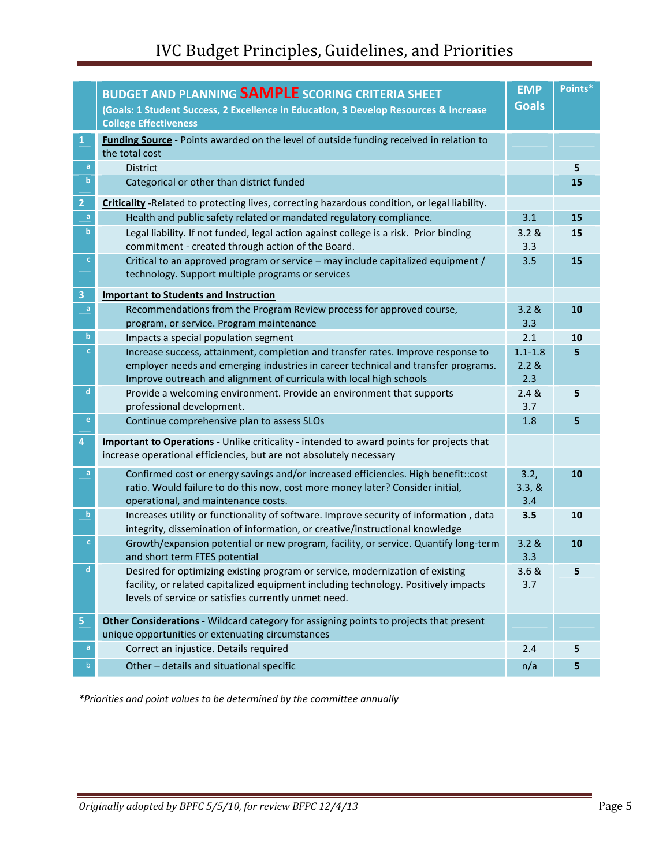|                                   | <b>BUDGET AND PLANNING SAMPLE SCORING CRITERIA SHEET</b>                                                                                                                                                                     | <b>EMP</b><br><b>Goals</b> | Points* |
|-----------------------------------|------------------------------------------------------------------------------------------------------------------------------------------------------------------------------------------------------------------------------|----------------------------|---------|
|                                   | (Goals: 1 Student Success, 2 Excellence in Education, 3 Develop Resources & Increase<br><b>College Effectiveness</b>                                                                                                         |                            |         |
| $\mathbf{1}$                      | Funding Source - Points awarded on the level of outside funding received in relation to<br>the total cost                                                                                                                    |                            |         |
| $\mathsf{a}$                      | <b>District</b>                                                                                                                                                                                                              |                            | 5       |
| $\mathbf b$                       | Categorical or other than district funded                                                                                                                                                                                    |                            | 15      |
| $\overline{2}$                    | Criticality -Related to protecting lives, correcting hazardous condition, or legal liability.                                                                                                                                |                            |         |
| $\mathsf{a}$                      | Health and public safety related or mandated regulatory compliance.                                                                                                                                                          | 3.1                        | 15      |
| $\mathbf b$                       | Legal liability. If not funded, legal action against college is a risk. Prior binding<br>commitment - created through action of the Board.                                                                                   | 3.2 &<br>3.3               | 15      |
| $\mathbf{C}$                      | Critical to an approved program or service - may include capitalized equipment /<br>technology. Support multiple programs or services                                                                                        | 3.5                        | 15      |
| $\overline{\mathbf{3}}$           | <b>Important to Students and Instruction</b>                                                                                                                                                                                 |                            |         |
| a                                 | Recommendations from the Program Review process for approved course,<br>program, or service. Program maintenance                                                                                                             | 3.2 &<br>3.3               | 10      |
| $\mathbf b$                       | Impacts a special population segment                                                                                                                                                                                         | 2.1                        | 10      |
| $\mathbf{C}$                      | Increase success, attainment, completion and transfer rates. Improve response to                                                                                                                                             | $1.1 - 1.8$                | 5       |
|                                   | employer needs and emerging industries in career technical and transfer programs.<br>Improve outreach and alignment of curricula with local high schools                                                                     | 2.2 &<br>2.3               |         |
| d                                 | Provide a welcoming environment. Provide an environment that supports<br>professional development.                                                                                                                           | 2.4 &<br>3.7               | 5       |
| $\mathsf{e}% _{t}\left( t\right)$ | Continue comprehensive plan to assess SLOs                                                                                                                                                                                   | 1.8                        | 5       |
| 4                                 | <b>Important to Operations</b> - Unlike criticality - intended to award points for projects that<br>increase operational efficiencies, but are not absolutely necessary                                                      |                            |         |
| a                                 | Confirmed cost or energy savings and/or increased efficiencies. High benefit::cost<br>ratio. Would failure to do this now, cost more money later? Consider initial,<br>operational, and maintenance costs.                   | 3.2,<br>3.3, &<br>3.4      | 10      |
| $\mathbf b$                       | Increases utility or functionality of software. Improve security of information, data<br>integrity, dissemination of information, or creative/instructional knowledge                                                        | 3.5                        | 10      |
| $\mathbf{C}$                      | Growth/expansion potential or new program, facility, or service. Quantify long-term<br>and short term FTES potential                                                                                                         | 3.2 &<br>3.3               | 10      |
|                                   | Desired for optimizing existing program or service, modernization of existing<br>facility, or related capitalized equipment including technology. Positively impacts<br>levels of service or satisfies currently unmet need. | 3.6 &<br>3.7               | 5       |
| $\overline{\mathbf{5}}$           | Other Considerations - Wildcard category for assigning points to projects that present                                                                                                                                       |                            |         |
|                                   | unique opportunities or extenuating circumstances                                                                                                                                                                            |                            |         |
| a                                 | Correct an injustice. Details required                                                                                                                                                                                       | 2.4                        | 5       |
| b                                 | Other - details and situational specific                                                                                                                                                                                     | n/a                        | 5       |

\*Priorities and point values to be determined by the committee annually